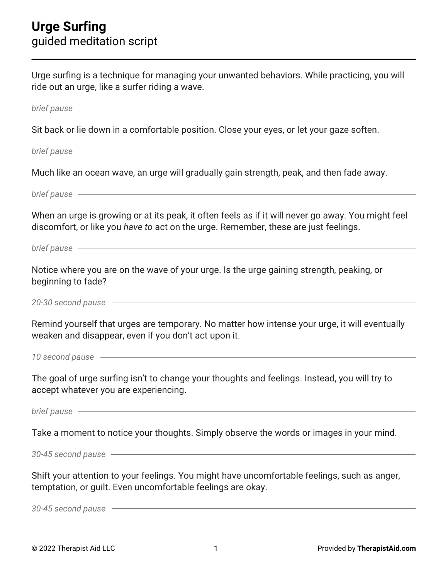| Urge surfing is a technique for managing your unwanted behaviors. While practicing, you will<br>ride out an urge, like a surfer riding a wave.                                                                                 |
|--------------------------------------------------------------------------------------------------------------------------------------------------------------------------------------------------------------------------------|
| brief pause example and the pause of the state of the state of the state of the state of the state of the state of the state of the state of the state of the state of the state of the state of the state of the state of the |
| Sit back or lie down in a comfortable position. Close your eyes, or let your gaze soften.                                                                                                                                      |
| brief pause - The Commission of the Commission of the Commission of the Commission of the Commission of the Co                                                                                                                 |
| Much like an ocean wave, an urge will gradually gain strength, peak, and then fade away.                                                                                                                                       |
| brief pause - The Commission of the Commission of the Commission of the Commission of the Commission of the Co                                                                                                                 |
| When an urge is growing or at its peak, it often feels as if it will never go away. You might feel<br>discomfort, or like you have to act on the urge. Remember, these are just feelings.                                      |
| brief pause example and the pause of the state of the state of the state of the state of the state of the state of the state of the state of the state of the state of the state of the state of the state of the state of the |
| Notice where you are on the wave of your urge. Is the urge gaining strength, peaking, or<br>beginning to fade?                                                                                                                 |
| 20-30 second pause                                                                                                                                                                                                             |
| Remind yourself that urges are temporary. No matter how intense your urge, it will eventually<br>weaken and disappear, even if you don't act upon it.                                                                          |
| 10 second pause example and pause and pause and pause and pause and pause and pause and pause and pause and pau                                                                                                                |
| The goal of urge surfing isn't to change your thoughts and feelings. Instead, you will try to<br>accept whatever you are experiencing.                                                                                         |
| brief pause entry and the state of the state of the state of the state of the state of the state of the state of the state of the state of the state of the state of the state of the state of the state of the state of the s |
| Take a moment to notice your thoughts. Simply observe the words or images in your mind.                                                                                                                                        |
| 30-45 second pause - The Contract of the Second pause - The Contract of the Contract of the Contract of the Contract of the Contract of the Contract of the Contract of the Contract of the Contract of the Contract of the Co |
| Shift your attention to your feelings. You might have uncomfortable feelings, such as anger,<br>temptation, or guilt. Even uncomfortable feelings are okay.                                                                    |
| 30-45 second pause example and service and service and service and service and service and service and service                                                                                                                 |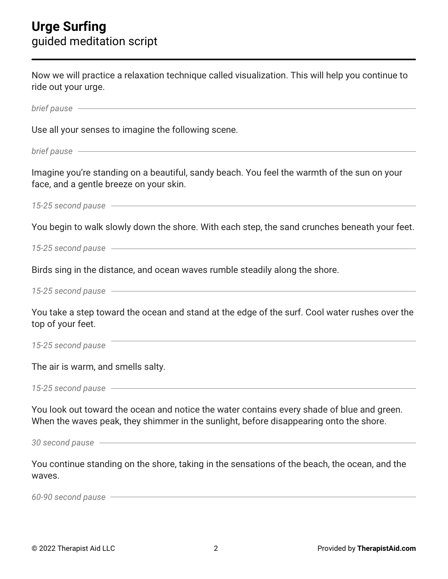| Now we will practice a relaxation technique called visualization. This will help you continue to<br>ride out your urge.                                                                                                        |
|--------------------------------------------------------------------------------------------------------------------------------------------------------------------------------------------------------------------------------|
| brief pause experience and the pause of the pause of the pause of the pause of the pause of the pause of the pau                                                                                                               |
| Use all your senses to imagine the following scene.                                                                                                                                                                            |
| brief pause example and the pause of the state of the state of the state of the state of the state of the state of the state of the state of the state of the state of the state of the state of the state of the state of the |
| Imagine you're standing on a beautiful, sandy beach. You feel the warmth of the sun on your<br>face, and a gentle breeze on your skin.                                                                                         |
| 15-25 second pause example and payable and payable and payable and payable and payable and payable and payable                                                                                                                 |
| You begin to walk slowly down the shore. With each step, the sand crunches beneath your feet.                                                                                                                                  |
| 15-25 second pause example and pay a second pause of the second pays and pay and pay and pay and pay and pay a                                                                                                                 |
| Birds sing in the distance, and ocean waves rumble steadily along the shore.                                                                                                                                                   |
|                                                                                                                                                                                                                                |
| You take a step toward the ocean and stand at the edge of the surf. Cool water rushes over the<br>top of your feet.                                                                                                            |
| 15-25 second pause                                                                                                                                                                                                             |
| The air is warm, and smells salty.                                                                                                                                                                                             |
| 15-25 second pause —                                                                                                                                                                                                           |
| You look out toward the ocean and notice the water contains every shade of blue and green.<br>When the waves peak, they shimmer in the sunlight, before disappearing onto the shore.                                           |
| 30 second pause entry and the second pause of the second pause of the second pause of the second pause of the second pause of the second pause of the second pause of the second pause of the second pause of the second pause |
| You continue standing on the shore, taking in the sensations of the beach, the ocean, and the<br>waves.                                                                                                                        |
| 60-90 second pause example and pause the set of the second pause of the set of the second pause of the set of the set of the set of the set of the set of the set of the set of the set of the set of the set of the set of th |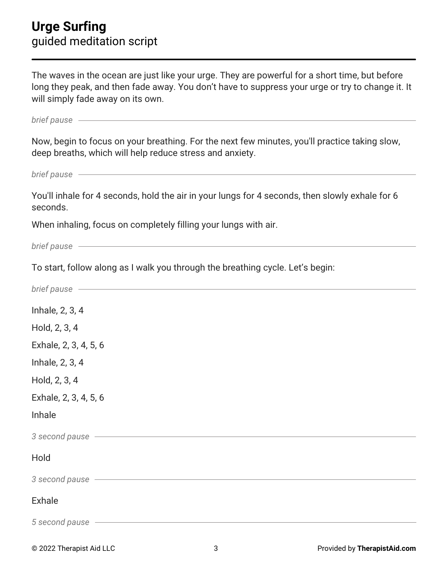## **Urge Surfing** guided meditation script

The waves in the ocean are just like your urge. They are powerful for a short time, but before long they peak, and then fade away. You don't have to suppress your urge or try to change it. It will simply fade away on its own.

| brief pause - The Commission of the Commission of the Commission of the Commission of the Commission of the Co                                                                                                                 |
|--------------------------------------------------------------------------------------------------------------------------------------------------------------------------------------------------------------------------------|
| Now, begin to focus on your breathing. For the next few minutes, you'll practice taking slow,<br>deep breaths, which will help reduce stress and anxiety.                                                                      |
| brief pause example and the pause of the state of the state of the state of the state of the state of the state of the state of the state of the state of the state of the state of the state of the state of the state of the |
| You'll inhale for 4 seconds, hold the air in your lungs for 4 seconds, then slowly exhale for 6<br>seconds.                                                                                                                    |
| When inhaling, focus on completely filling your lungs with air.                                                                                                                                                                |
| brief pause examples and the state of the state of the state of the state of the state of the state of the state of the state of the state of the state of the state of the state of the state of the state of the state of th |
| To start, follow along as I walk you through the breathing cycle. Let's begin:                                                                                                                                                 |
| brief pause example and the set of the set of the set of the set of the set of the set of the set of the set of                                                                                                                |
| Inhale, 2, 3, 4                                                                                                                                                                                                                |
| Hold, 2, 3, 4                                                                                                                                                                                                                  |
| Exhale, 2, 3, 4, 5, 6                                                                                                                                                                                                          |
| Inhale, 2, 3, 4                                                                                                                                                                                                                |
| Hold, 2, 3, 4                                                                                                                                                                                                                  |
| Exhale, 2, 3, 4, 5, 6                                                                                                                                                                                                          |
| Inhale                                                                                                                                                                                                                         |
| 3 second pause example and payable and payable and payable and payable and payable and payable and payable and                                                                                                                 |
| Hold                                                                                                                                                                                                                           |
| 3 second pause - The Contract of the Second pause - The Contract of the Second pause -                                                                                                                                         |
| <b>Exhale</b>                                                                                                                                                                                                                  |
| 5 second pause                                                                                                                                                                                                                 |